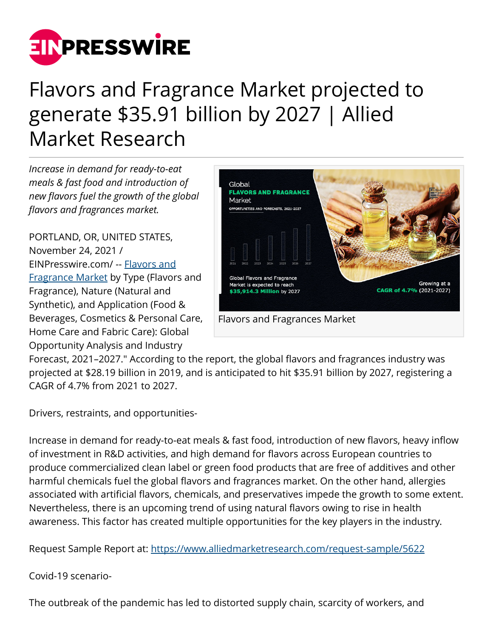

## Flavors and Fragrance Market projected to generate \$35.91 billion by 2027 | Allied Market Research

*Increase in demand for ready-to-eat meals & fast food and introduction of new flavors fuel the growth of the global flavors and fragrances market.*

PORTLAND, OR, UNITED STATES, November 24, 2021 / [EINPresswire.com](http://www.einpresswire.com)/ -- [Flavors and](https://www.alliedmarketresearch.com/flavors-and-fragrances-market) [Fragrance Market](https://www.alliedmarketresearch.com/flavors-and-fragrances-market) by Type (Flavors and Fragrance), Nature (Natural and Synthetic), and Application (Food & Beverages, Cosmetics & Personal Care, Home Care and Fabric Care): Global Opportunity Analysis and Industry



Forecast, 2021–2027." According to the report, the global flavors and fragrances industry was projected at \$28.19 billion in 2019, and is anticipated to hit \$35.91 billion by 2027, registering a CAGR of 4.7% from 2021 to 2027.

Drivers, restraints, and opportunities-

Increase in demand for ready-to-eat meals & fast food, introduction of new flavors, heavy inflow of investment in R&D activities, and high demand for flavors across European countries to produce commercialized clean label or green food products that are free of additives and other harmful chemicals fuel the global flavors and fragrances market. On the other hand, allergies associated with artificial flavors, chemicals, and preservatives impede the growth to some extent. Nevertheless, there is an upcoming trend of using natural flavors owing to rise in health awareness. This factor has created multiple opportunities for the key players in the industry.

Request Sample Report at:<https://www.alliedmarketresearch.com/request-sample/5622>

Covid-19 scenario-

The outbreak of the pandemic has led to distorted supply chain, scarcity of workers, and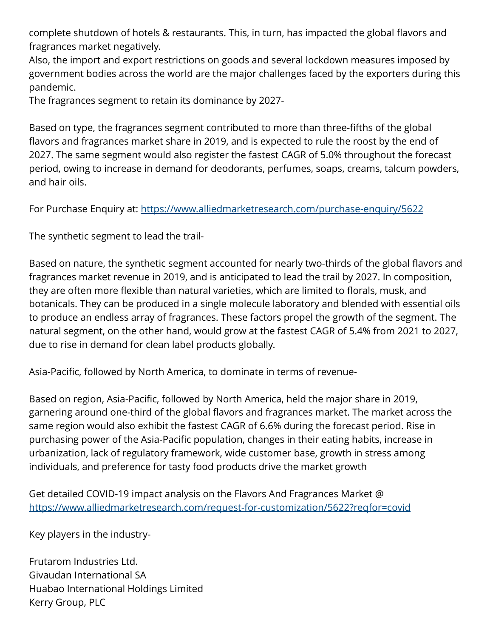complete shutdown of hotels & restaurants. This, in turn, has impacted the global flavors and fragrances market negatively.

Also, the import and export restrictions on goods and several lockdown measures imposed by government bodies across the world are the major challenges faced by the exporters during this pandemic.

The fragrances segment to retain its dominance by 2027-

Based on type, the fragrances segment contributed to more than three-fifths of the global flavors and fragrances market share in 2019, and is expected to rule the roost by the end of 2027. The same segment would also register the fastest CAGR of 5.0% throughout the forecast period, owing to increase in demand for deodorants, perfumes, soaps, creams, talcum powders, and hair oils.

For Purchase Enquiry at: <https://www.alliedmarketresearch.com/purchase-enquiry/5622>

The synthetic segment to lead the trail-

Based on nature, the synthetic segment accounted for nearly two-thirds of the global flavors and fragrances market revenue in 2019, and is anticipated to lead the trail by 2027. In composition, they are often more flexible than natural varieties, which are limited to florals, musk, and botanicals. They can be produced in a single molecule laboratory and blended with essential oils to produce an endless array of fragrances. These factors propel the growth of the segment. The natural segment, on the other hand, would grow at the fastest CAGR of 5.4% from 2021 to 2027, due to rise in demand for clean label products globally.

Asia-Pacific, followed by North America, to dominate in terms of revenue-

Based on region, Asia-Pacific, followed by North America, held the major share in 2019, garnering around one-third of the global flavors and fragrances market. The market across the same region would also exhibit the fastest CAGR of 6.6% during the forecast period. Rise in purchasing power of the Asia-Pacific population, changes in their eating habits, increase in urbanization, lack of regulatory framework, wide customer base, growth in stress among individuals, and preference for tasty food products drive the market growth

Get detailed COVID-19 impact analysis on the Flavors And Fragrances Market @ <https://www.alliedmarketresearch.com/request-for-customization/5622?reqfor=covid>

Key players in the industry-

Frutarom Industries Ltd. Givaudan International SA Huabao International Holdings Limited Kerry Group, PLC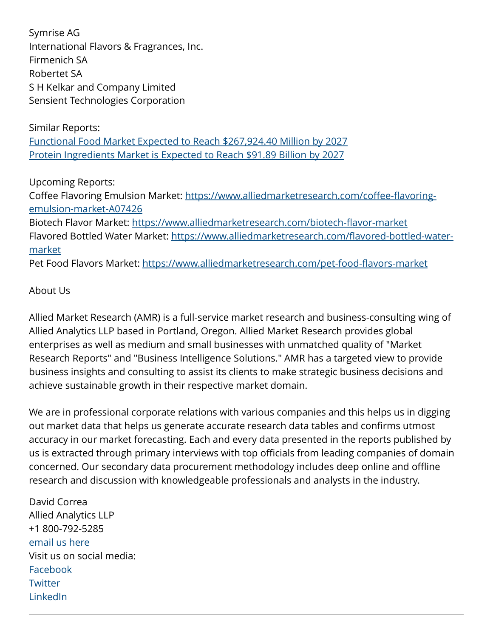Symrise AG International Flavors & Fragrances, Inc. Firmenich SA Robertet SA S H Kelkar and Company Limited Sensient Technologies Corporation

Similar Reports: [Functional Food Market Expected to Reach \\$267,924.40 Million by 2027](https://www.alliedmarketresearch.com/functional-food-market) [Protein Ingredients Market is Expected to Reach \\$91.89 Billion by 2027](https://www.alliedmarketresearch.com/protein-ingredients-market-A07178)

Upcoming Reports:

Coffee Flavoring Emulsion Market: [https://www.alliedmarketresearch.com/coffee-flavoring](https://www.alliedmarketresearch.com/coffee-flavoring-emulsion-market-A07426)[emulsion-market-A07426](https://www.alliedmarketresearch.com/coffee-flavoring-emulsion-market-A07426)

Biotech Flavor Market:<https://www.alliedmarketresearch.com/biotech-flavor-market> Flavored Bottled Water Market: [https://www.alliedmarketresearch.com/flavored-bottled-water](https://www.alliedmarketresearch.com/flavored-bottled-water-market)[market](https://www.alliedmarketresearch.com/flavored-bottled-water-market)

Pet Food Flavors Market:<https://www.alliedmarketresearch.com/pet-food-flavors-market>

## About Us

Allied Market Research (AMR) is a full-service market research and business-consulting wing of Allied Analytics LLP based in Portland, Oregon. Allied Market Research provides global enterprises as well as medium and small businesses with unmatched quality of "Market Research Reports" and "Business Intelligence Solutions." AMR has a targeted view to provide business insights and consulting to assist its clients to make strategic business decisions and achieve sustainable growth in their respective market domain.

We are in professional corporate relations with various companies and this helps us in digging out market data that helps us generate accurate research data tables and confirms utmost accuracy in our market forecasting. Each and every data presented in the reports published by us is extracted through primary interviews with top officials from leading companies of domain concerned. Our secondary data procurement methodology includes deep online and offline research and discussion with knowledgeable professionals and analysts in the industry.

David Correa Allied Analytics LLP +1 800-792-5285 [email us here](http://www.einpresswire.com/contact_author/3203823) Visit us on social media: [Facebook](https://www.facebook.com/alliedmarketresearch/) **[Twitter](https://twitter.com/allied_mr)** [LinkedIn](https://www.linkedin.com/company/allied-market-research)